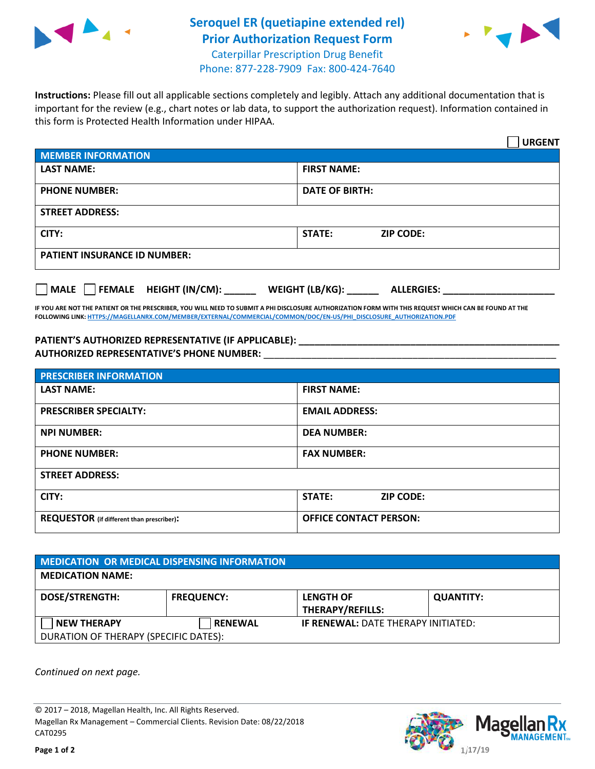

## **Seroquel ER (quetiapine extended rel) Prior Authorization Request Form**  Caterpillar Prescription Drug Benefit



Phone: 877-228-7909 Fax: 800-424-7640

**Instructions:** Please fill out all applicable sections completely and legibly. Attach any additional documentation that is important for the review (e.g., chart notes or lab data, to support the authorization request). Information contained in this form is Protected Health Information under HIPAA.

|                                        | <b>URGENT</b>                        |  |  |
|----------------------------------------|--------------------------------------|--|--|
| <b>MEMBER INFORMATION</b>              |                                      |  |  |
| <b>LAST NAME:</b>                      | <b>FIRST NAME:</b>                   |  |  |
| <b>PHONE NUMBER:</b>                   | <b>DATE OF BIRTH:</b>                |  |  |
| <b>STREET ADDRESS:</b>                 |                                      |  |  |
| CITY:                                  | <b>ZIP CODE:</b><br>STATE:           |  |  |
| <b>PATIENT INSURANCE ID NUMBER:</b>    |                                      |  |  |
| FEMALE HEIGHT (IN/CM):<br>$\vert$ MALE | WEIGHT (LB/KG):<br><b>ALLERGIES:</b> |  |  |

**IF YOU ARE NOT THE PATIENT OR THE PRESCRIBER, YOU WILL NEED TO SUBMIT A PHI DISCLOSURE AUTHORIZATION FORM WITH THIS REQUEST WHICH CAN BE FOUND AT THE FOLLOWING LINK: HTTPS://MAGELLANRX.COM/MEMBER/EXTERNAL/COMMERCIAL/COMMON/DOC/EN-US/PHI\_DISCLOSURE\_AUTHORIZATION.PDF**

**PATIENT'S AUTHORIZED REPRESENTATIVE (IF APPLICABLE):**  $\blacksquare$ **AUTHORIZED REPRESENTATIVE'S PHONE NUMBER:** \_\_\_\_\_\_\_\_\_\_\_\_\_\_\_\_\_\_\_\_\_\_\_\_\_\_\_\_\_\_\_\_\_\_\_\_\_\_\_\_\_\_\_\_\_\_\_\_\_\_\_\_\_\_\_

| <b>PRESCRIBER INFORMATION</b>             |                               |  |  |  |
|-------------------------------------------|-------------------------------|--|--|--|
| <b>LAST NAME:</b>                         | <b>FIRST NAME:</b>            |  |  |  |
| <b>PRESCRIBER SPECIALTY:</b>              | <b>EMAIL ADDRESS:</b>         |  |  |  |
| <b>NPI NUMBER:</b>                        | <b>DEA NUMBER:</b>            |  |  |  |
| <b>PHONE NUMBER:</b>                      | <b>FAX NUMBER:</b>            |  |  |  |
| <b>STREET ADDRESS:</b>                    |                               |  |  |  |
| CITY:                                     | STATE:<br><b>ZIP CODE:</b>    |  |  |  |
| REQUESTOR (if different than prescriber): | <b>OFFICE CONTACT PERSON:</b> |  |  |  |

| <b>MEDICATION OR MEDICAL DISPENSING INFORMATION</b> |                   |                                            |                  |  |  |
|-----------------------------------------------------|-------------------|--------------------------------------------|------------------|--|--|
| <b>MEDICATION NAME:</b>                             |                   |                                            |                  |  |  |
| <b>DOSE/STRENGTH:</b>                               | <b>FREQUENCY:</b> | <b>LENGTH OF</b><br>THERAPY/REFILLS:       | <b>QUANTITY:</b> |  |  |
| <b>NEW THERAPY</b>                                  | <b>RENEWAL</b>    | <b>IF RENEWAL: DATE THERAPY INITIATED:</b> |                  |  |  |
| DURATION OF THERAPY (SPECIFIC DATES):               |                   |                                            |                  |  |  |

*Continued on next page.* 

© 2017 – 2018, Magellan Health, Inc. All Rights Reserved. Magellan Rx Management – Commercial Clients. Revision Date: 08/22/2018 CAT0295